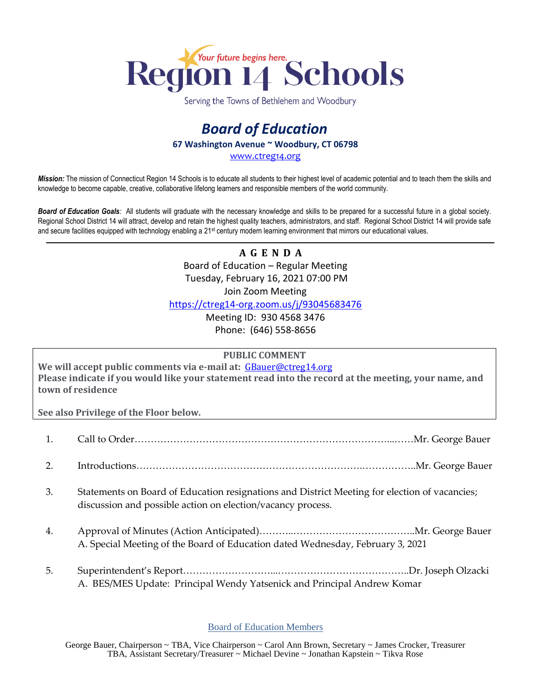

Serving the Towns of Bethlehem and Woodbury

## *Board of Education* **67 Washington Avenue ~ Woodbury, CT 06798**

[www.ctreg14.org](http://www.ctreg14.org/)

*Mission:* The mission of Connecticut Region 14 Schools is to educate all students to their highest level of academic potential and to teach them the skills and knowledge to become capable, creative, collaborative lifelong learners and responsible members of the world community.

*Board of Education Goals:* All students will graduate with the necessary knowledge and skills to be prepared for a successful future in a global society. Regional School District 14 will attract, develop and retain the highest quality teachers, administrators, and staff. Regional School District 14 will provide safe and secure facilities equipped with technology enabling a 21<sup>st</sup> century modern learning environment that mirrors our educational values.

> **A G E N D A** Board of Education – Regular Meeting Tuesday, February 16, 2021 07:00 PM Join Zoom Meeting <https://ctreg14-org.zoom.us/j/93045683476>

Meeting ID: 930 4568 3476 Phone: (646) 558-8656

## **PUBLIC COMMENT**

**We will accept public comments via e-mail at:** [GBauer@ctreg14.org](mailto:GBauer@ctreg14.org) **Please indicate if you would like your statement read into the record at the meeting, your name, and town of residence**

**See also Privilege of the Floor below.**

- 1. Call to Order……………………………………………………………………...……Mr. George Bauer
- 2. Introductions…………………………………………………………….……………..Mr. George Bauer
- 3. Statements on Board of Education resignations and District Meeting for election of vacancies; discussion and possible action on election/vacancy process.
- 4. Approval of Minutes (Action Anticipated)………..………………………………..Mr. George Bauer A. Special Meeting of the Board of Education dated Wednesday, February 3, 2021
- 5. Superintendent's Report………………………...…………………………………..Dr. Joseph Olzacki A. BES/MES Update: Principal Wendy Yatsenick and Principal Andrew Komar

## Board of Education Members

George Bauer, Chairperson ~ TBA, Vice Chairperson ~ Carol Ann Brown, Secretary ~ James Crocker, Treasurer TBA, Assistant Secretary/Treasurer ~ Michael Devine ~ Jonathan Kapstein ~ Tikva Rose